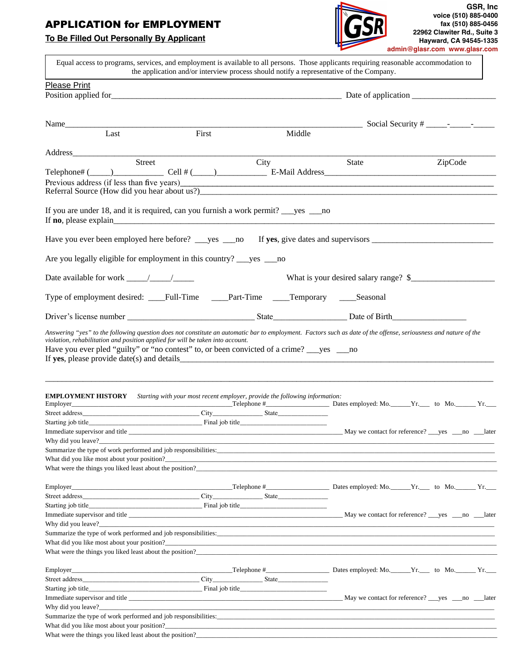# APPLICATION for EMPLOYMENT

## **To Be Filled Out Personally By Applicant**



| Equal access to programs, services, and employment is available to all persons. Those applicants requiring reasonable accommodation to                                                                                           | the application and/or interview process should notify a representative of the Company. |      |        |                                       |         |
|----------------------------------------------------------------------------------------------------------------------------------------------------------------------------------------------------------------------------------|-----------------------------------------------------------------------------------------|------|--------|---------------------------------------|---------|
| Please Print                                                                                                                                                                                                                     |                                                                                         |      |        |                                       |         |
|                                                                                                                                                                                                                                  |                                                                                         |      |        |                                       |         |
| Name                                                                                                                                                                                                                             |                                                                                         |      |        |                                       |         |
| Last                                                                                                                                                                                                                             | First                                                                                   |      | Middle |                                       |         |
| Address                                                                                                                                                                                                                          |                                                                                         |      |        |                                       |         |
|                                                                                                                                                                                                                                  | Street                                                                                  | City |        | State                                 | ZipCode |
| Telephone# $(\_\_\_)$ Cell # $(\_\_)$ Cell = 6 Mail Address                                                                                                                                                                      |                                                                                         |      |        |                                       |         |
| Previous address (if less than five years)                                                                                                                                                                                       |                                                                                         |      |        |                                       |         |
|                                                                                                                                                                                                                                  |                                                                                         |      |        |                                       |         |
|                                                                                                                                                                                                                                  |                                                                                         |      |        |                                       |         |
| Are you legally eligible for employment in this country? ___ yes ___ no                                                                                                                                                          |                                                                                         |      |        |                                       |         |
|                                                                                                                                                                                                                                  |                                                                                         |      |        | What is your desired salary range? \$ |         |
| Type of employment desired: ____Full-Time ____Part-Time ____Temporary ____Seasonal                                                                                                                                               |                                                                                         |      |        |                                       |         |
|                                                                                                                                                                                                                                  |                                                                                         |      |        |                                       |         |
| <b>EMPLOYMENT HISTORY</b> Starting with your most recent employer, provide the following information:                                                                                                                            |                                                                                         |      |        |                                       |         |
|                                                                                                                                                                                                                                  |                                                                                         |      |        |                                       |         |
|                                                                                                                                                                                                                                  |                                                                                         |      |        |                                       |         |
|                                                                                                                                                                                                                                  |                                                                                         |      |        |                                       |         |
| Why did you leave?                                                                                                                                                                                                               |                                                                                         |      |        |                                       |         |
| Summarize the type of work performed and job responsibilities:                                                                                                                                                                   |                                                                                         |      |        |                                       |         |
|                                                                                                                                                                                                                                  |                                                                                         |      |        |                                       |         |
| What were the things you liked least about the position?                                                                                                                                                                         |                                                                                         |      |        |                                       |         |
|                                                                                                                                                                                                                                  |                                                                                         |      |        |                                       |         |
|                                                                                                                                                                                                                                  |                                                                                         |      |        |                                       |         |
|                                                                                                                                                                                                                                  |                                                                                         |      |        |                                       |         |
|                                                                                                                                                                                                                                  |                                                                                         |      |        |                                       |         |
|                                                                                                                                                                                                                                  |                                                                                         |      |        |                                       |         |
| Summarize the type of work performed and job responsibilities:                                                                                                                                                                   |                                                                                         |      |        |                                       |         |
| What did you like most about your position?                                                                                                                                                                                      |                                                                                         |      |        |                                       |         |
| What were the things you liked least about the position?<br>The matter of the state of the state of the state of the state of the state of the state of the state of the state of the state of the state of the state of the sta |                                                                                         |      |        |                                       |         |
|                                                                                                                                                                                                                                  |                                                                                         |      |        |                                       |         |
|                                                                                                                                                                                                                                  |                                                                                         |      |        |                                       |         |
|                                                                                                                                                                                                                                  |                                                                                         |      |        |                                       |         |
|                                                                                                                                                                                                                                  |                                                                                         |      |        |                                       |         |
|                                                                                                                                                                                                                                  |                                                                                         |      |        |                                       |         |
| Why did you leave?                                                                                                                                                                                                               |                                                                                         |      |        |                                       |         |
| Summarize the type of work performed and job responsibilities:<br>exponsibilities:<br>Summarize the type of work performed and job responsibilities:<br>Summarize the type of work performed and job responsibilities:           |                                                                                         |      |        |                                       |         |
|                                                                                                                                                                                                                                  |                                                                                         |      |        |                                       |         |
| What were the things you liked least about the position?<br>The mass contract of the state of the state of the state of the state of the state of the state of the state of the state of the state of the state of the state of  |                                                                                         |      |        |                                       |         |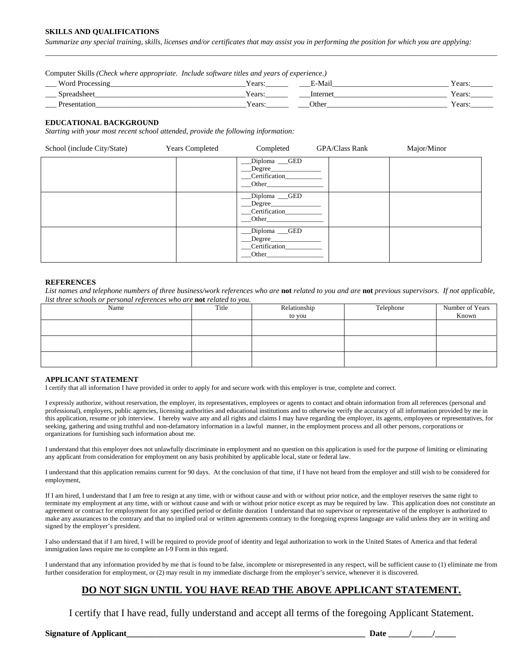#### **SKILLS AND QUALIFICATIONS**

*Summarize any special training, skills, licenses and/or certificates that may assist you in performing the position for which you are applying:* 

Computer Skills *(Check where appropriate. Include software titles and years of experience.)*

| <b>TTT</b><br>Word                      | Y ears  | $\cdot$ .<br>Mail | $'$ on ru<br>т сату |
|-----------------------------------------|---------|-------------------|---------------------|
| spreadshee<br>аимнес<br>$\qquad \qquad$ | Y ears: | Intern            | Years:              |
|                                         | ears '  | Other             | Y ears              |

\_\_\_\_\_\_\_\_\_\_\_\_\_\_\_\_\_\_\_\_\_\_\_\_\_\_\_\_\_\_\_\_\_\_\_\_\_\_\_\_\_\_\_\_\_\_\_\_\_\_\_\_\_\_\_\_\_\_\_\_\_\_\_\_\_\_\_\_\_\_\_\_\_\_\_\_\_\_\_\_\_\_\_\_\_\_\_\_\_\_\_\_\_\_\_\_\_\_\_\_\_\_\_\_\_\_\_\_\_\_\_\_\_\_\_\_\_\_\_\_

#### **EDUCATIONAL BACKGROUND**

*Starting with your most recent school attended, provide the following information:* 

| School (include City/State) | <b>Years Completed</b> | Completed                                           | <b>GPA/Class Rank</b> | Major/Minor |
|-----------------------------|------------------------|-----------------------------------------------------|-----------------------|-------------|
|                             |                        | Diploma GED<br>$\_Degree$<br>Certification<br>Other |                       |             |
|                             |                        | Diploma GED<br>Degree<br>Certification<br>Other     |                       |             |
|                             |                        | Diploma GED<br>Degree<br>Certification<br>Other     |                       |             |

#### **REFERENCES**

List names and telephone numbers of three business/work references who are **not** related to you and are **not** previous supervisors. If not applicable, *list three schools or personal references who are* **not** *related to you.* 

| Name | Title | Relationship | Telephone | Number of Years |
|------|-------|--------------|-----------|-----------------|
|      |       | to you       |           | Known           |
|      |       |              |           |                 |
|      |       |              |           |                 |
|      |       |              |           |                 |
|      |       |              |           |                 |
|      |       |              |           |                 |
|      |       |              |           |                 |

#### **APPLICANT STATEMENT**

I certify that all information I have provided in order to apply for and secure work with this employer is true, complete and correct.

I expressly authorize, without reservation, the employer, its representatives, employees or agents to contact and obtain information from all references (personal and professional), employers, public agencies, licensing authorities and educational institutions and to otherwise verify the accuracy of all information provided by me in this application, resume or job interview. I hereby waive any and all rights and claims I may have regarding the employer, its agents, employees or representatives, for seeking, gathering and using truthful and non-defamatory information in a lawful manner, in the employment process and all other persons, corporations or organizations for furnishing such information about me.

I understand that this employer does not unlawfully discriminate in employment and no question on this application is used for the purpose of limiting or eliminating any applicant from consideration for employment on any basis prohibited by applicable local, state or federal law.

I understand that this application remains current for 90 days. At the conclusion of that time, if I have not heard from the employer and still wish to be considered for employment,

If I am hired, I understand that I am free to resign at any time, with or without cause and with or without prior notice, and the employer reserves the same right to terminate my employment at any time, with or without cause and with or without prior notice except as may be required by law. This application does not constitute an agreement or contract for employment for any specified period or definite duration I understand that no supervisor or representative of the employer is authorized to make any assurances to the contrary and that no implied oral or written agreements contrary to the foregoing express language are valid unless they are in writing and signed by the employer's president.

I also understand that if I am hired, I will be required to provide proof of identity and legal authorization to work in the United States of America and that federal immigration laws require me to complete an I-9 Form in this regard.

I understand that any information provided by me that is found to be false, incomplete or misrepresented in any respect, will be sufficient cause to (1) eliminate me from further consideration for employment, or (2) may result in my immediate discharge from the employer's service, whenever it is discovered.

### **DO NOT SIGN UNTIL YOU HAVE READ THE ABOVE APPLICANT STATEMENT.**

I certify that I have read, fully understand and accept all terms of the foregoing Applicant Statement.

**Signature of Applicant** the control of the control of the control of the control of the control of the control of the control of the control of the control of the control of the control of the control of the control of th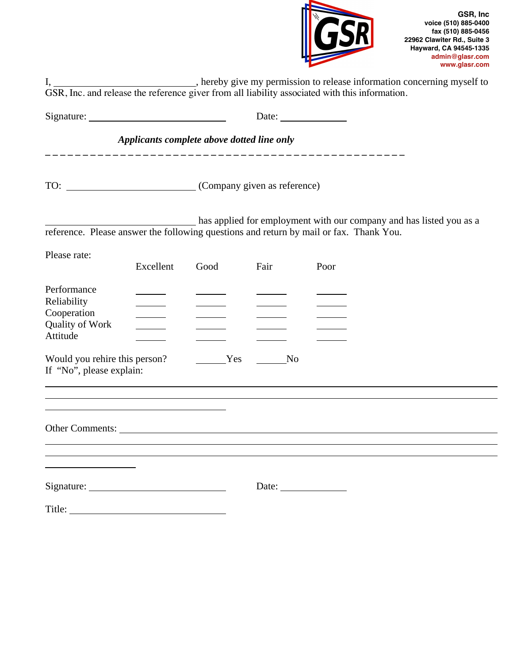

|                                                                                                                      |                                            |      |            | Date: $\frac{1}{\sqrt{1-\frac{1}{2}} \cdot \frac{1}{2}}$                                                                                                     |  |
|----------------------------------------------------------------------------------------------------------------------|--------------------------------------------|------|------------|--------------------------------------------------------------------------------------------------------------------------------------------------------------|--|
|                                                                                                                      | Applicants complete above dotted line only |      |            |                                                                                                                                                              |  |
|                                                                                                                      |                                            |      |            |                                                                                                                                                              |  |
|                                                                                                                      |                                            |      |            | as applied for employment with our company and has listed you as a<br>reference. Please answer the following questions and return by mail or fax. Thank You. |  |
| Please rate:                                                                                                         | Excellent                                  | Good | Fair       | Poor                                                                                                                                                         |  |
| Performance<br>Reliability<br>Cooperation<br>Quality of Work<br>Attitude                                             | $\sim$                                     |      |            |                                                                                                                                                              |  |
| Would you rehire this person?<br>If "No", please explain:                                                            |                                            | Yes  | $\sqrt{N}$ | ,我们也不会有什么。""我们的人,我们也不会有什么?""我们的人,我们也不会有什么?""我们的人,我们也不会有什么?""我们的人,我们也不会有什么?""我们的人                                                                             |  |
| <u> 1989 - Johann Stein, marwolaethau a bhann an t-Amhair an t-Amhair an t-Amhair an t-Amhair an t-Amhair an t-A</u> |                                            |      |            |                                                                                                                                                              |  |
|                                                                                                                      |                                            |      |            | Date:                                                                                                                                                        |  |